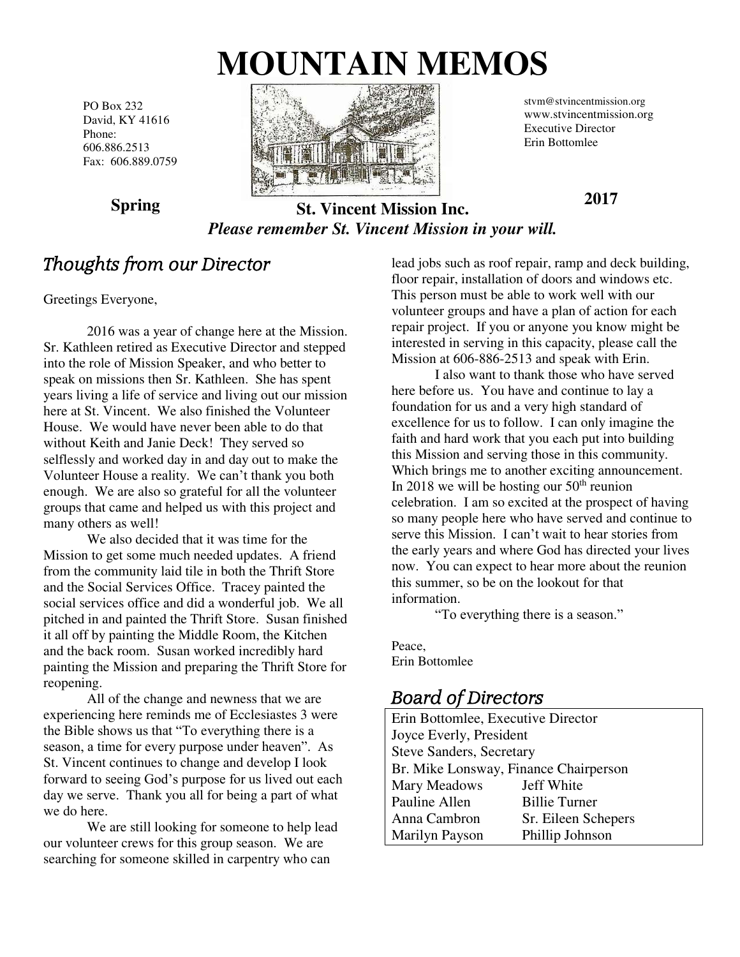# **MOUNTAIN MEMOS**

PO Box 232 David, KY 41616 Phone: 606.886.2513 Fax: 606.889.0759



stvm@stvincentmission.org www.stvincentmission.org Executive Director Erin Bottomlee

**2017** 

**Spring** 

#### **St. Vincent Mission Inc.**  *Please remember St. Vincent Mission in your will.*

## Thoughts from our Director

Greetings Everyone,

 2016 was a year of change here at the Mission. Sr. Kathleen retired as Executive Director and stepped into the role of Mission Speaker, and who better to speak on missions then Sr. Kathleen. She has spent years living a life of service and living out our mission here at St. Vincent. We also finished the Volunteer House. We would have never been able to do that without Keith and Janie Deck! They served so selflessly and worked day in and day out to make the Volunteer House a reality. We can't thank you both enough. We are also so grateful for all the volunteer groups that came and helped us with this project and many others as well!

 We also decided that it was time for the Mission to get some much needed updates. A friend from the community laid tile in both the Thrift Store and the Social Services Office. Tracey painted the social services office and did a wonderful job. We all pitched in and painted the Thrift Store. Susan finished it all off by painting the Middle Room, the Kitchen and the back room. Susan worked incredibly hard painting the Mission and preparing the Thrift Store for reopening.

 All of the change and newness that we are experiencing here reminds me of Ecclesiastes 3 were the Bible shows us that "To everything there is a season, a time for every purpose under heaven". As St. Vincent continues to change and develop I look forward to seeing God's purpose for us lived out each day we serve. Thank you all for being a part of what we do here.

 We are still looking for someone to help lead our volunteer crews for this group season. We are searching for someone skilled in carpentry who can

lead jobs such as roof repair, ramp and deck building, floor repair, installation of doors and windows etc. This person must be able to work well with our volunteer groups and have a plan of action for each repair project. If you or anyone you know might be interested in serving in this capacity, please call the Mission at 606-886-2513 and speak with Erin.

 I also want to thank those who have served here before us. You have and continue to lay a foundation for us and a very high standard of excellence for us to follow. I can only imagine the faith and hard work that you each put into building this Mission and serving those in this community. Which brings me to another exciting announcement. In 2018 we will be hosting our  $50<sup>th</sup>$  reunion celebration. I am so excited at the prospect of having so many people here who have served and continue to serve this Mission. I can't wait to hear stories from the early years and where God has directed your lives now. You can expect to hear more about the reunion this summer, so be on the lookout for that information.

"To everything there is a season."

Peace, Erin Bottomlee

### Board of Directors

Erin Bottomlee, Executive Director Joyce Everly, President Steve Sanders, Secretary Br. Mike Lonsway, Finance Chairperson Mary Meadows Jeff White Pauline Allen Billie Turner Anna Cambron Sr. Eileen Schepers Marilyn Payson Phillip Johnson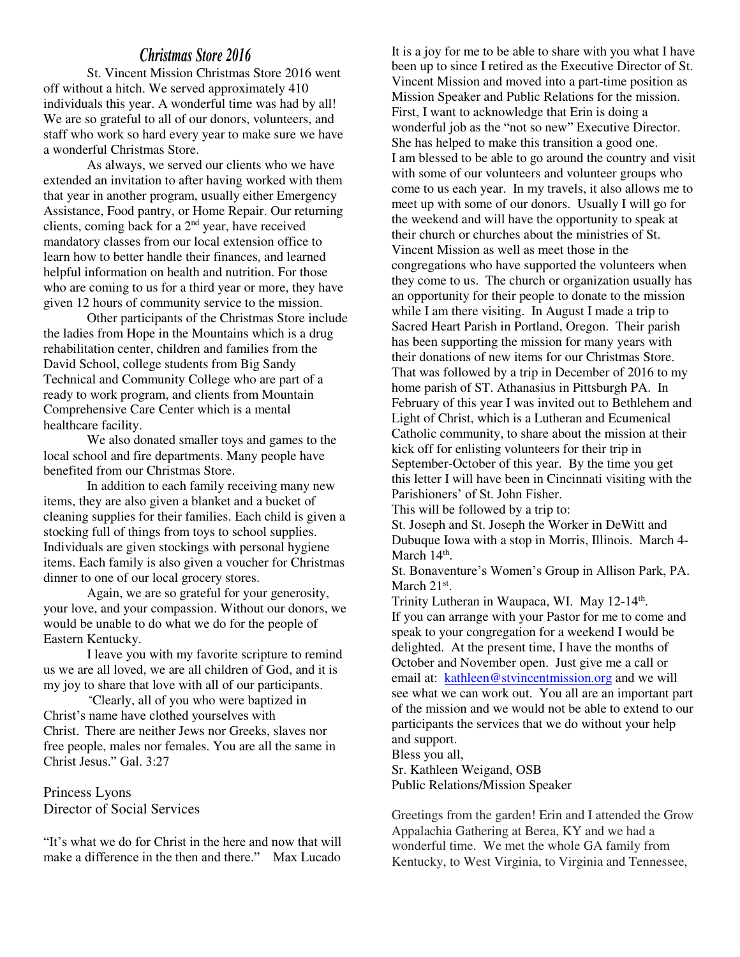#### *Christmas Store 2016*

St. Vincent Mission Christmas Store 2016 went off without a hitch. We served approximately 410 individuals this year. A wonderful time was had by all! We are so grateful to all of our donors, volunteers, and staff who work so hard every year to make sure we have a wonderful Christmas Store.

As always, we served our clients who we have extended an invitation to after having worked with them that year in another program, usually either Emergency Assistance, Food pantry, or Home Repair. Our returning clients, coming back for a 2nd year, have received mandatory classes from our local extension office to learn how to better handle their finances, and learned helpful information on health and nutrition. For those who are coming to us for a third year or more, they have given 12 hours of community service to the mission.

Other participants of the Christmas Store include the ladies from Hope in the Mountains which is a drug rehabilitation center, children and families from the David School, college students from Big Sandy Technical and Community College who are part of a ready to work program, and clients from Mountain Comprehensive Care Center which is a mental healthcare facility.

We also donated smaller toys and games to the local school and fire departments. Many people have benefited from our Christmas Store.

In addition to each family receiving many new items, they are also given a blanket and a bucket of cleaning supplies for their families. Each child is given a stocking full of things from toys to school supplies. Individuals are given stockings with personal hygiene items. Each family is also given a voucher for Christmas dinner to one of our local grocery stores.

Again, we are so grateful for your generosity, your love, and your compassion. Without our donors, we would be unable to do what we do for the people of Eastern Kentucky.

I leave you with my favorite scripture to remind us we are all loved, we are all children of God, and it is my joy to share that love with all of our participants.

**"**Clearly, all of you who were baptized in Christ's name have clothed yourselves with Christ. There are neither Jews nor Greeks, slaves nor free people, males nor females. You are all the same in Christ Jesus." Gal. 3:27

Princess Lyons Director of Social Services

"It's what we do for Christ in the here and now that will make a difference in the then and there." Max Lucado

It is a joy for me to be able to share with you what I have been up to since I retired as the Executive Director of St. Vincent Mission and moved into a part-time position as Mission Speaker and Public Relations for the mission. First, I want to acknowledge that Erin is doing a wonderful job as the "not so new" Executive Director. She has helped to make this transition a good one. I am blessed to be able to go around the country and visit with some of our volunteers and volunteer groups who come to us each year. In my travels, it also allows me to meet up with some of our donors. Usually I will go for the weekend and will have the opportunity to speak at their church or churches about the ministries of St. Vincent Mission as well as meet those in the congregations who have supported the volunteers when they come to us. The church or organization usually has an opportunity for their people to donate to the mission while I am there visiting. In August I made a trip to Sacred Heart Parish in Portland, Oregon. Their parish has been supporting the mission for many years with their donations of new items for our Christmas Store. That was followed by a trip in December of 2016 to my home parish of ST. Athanasius in Pittsburgh PA. In February of this year I was invited out to Bethlehem and Light of Christ, which is a Lutheran and Ecumenical Catholic community, to share about the mission at their kick off for enlisting volunteers for their trip in September-October of this year. By the time you get this letter I will have been in Cincinnati visiting with the Parishioners' of St. John Fisher.

This will be followed by a trip to:

St. Joseph and St. Joseph the Worker in DeWitt and Dubuque Iowa with a stop in Morris, Illinois. March 4- March  $14<sup>th</sup>$ .

St. Bonaventure's Women's Group in Allison Park, PA. March  $21<sup>st</sup>$ .

Trinity Lutheran in Waupaca, WI. May 12-14<sup>th</sup>. If you can arrange with your Pastor for me to come and speak to your congregation for a weekend I would be delighted. At the present time, I have the months of October and November open. Just give me a call or email at: [kathleen@stvincentmission.org](mailto:kathleen@stvincentmission.org) and we will see what we can work out. You all are an important part of the mission and we would not be able to extend to our participants the services that we do without your help and support.

Bless you all,

Sr. Kathleen Weigand, OSB Public Relations/Mission Speaker

Greetings from the garden! Erin and I attended the Grow Appalachia Gathering at Berea, KY and we had a wonderful time. We met the whole GA family from Kentucky, to West Virginia, to Virginia and Tennessee,